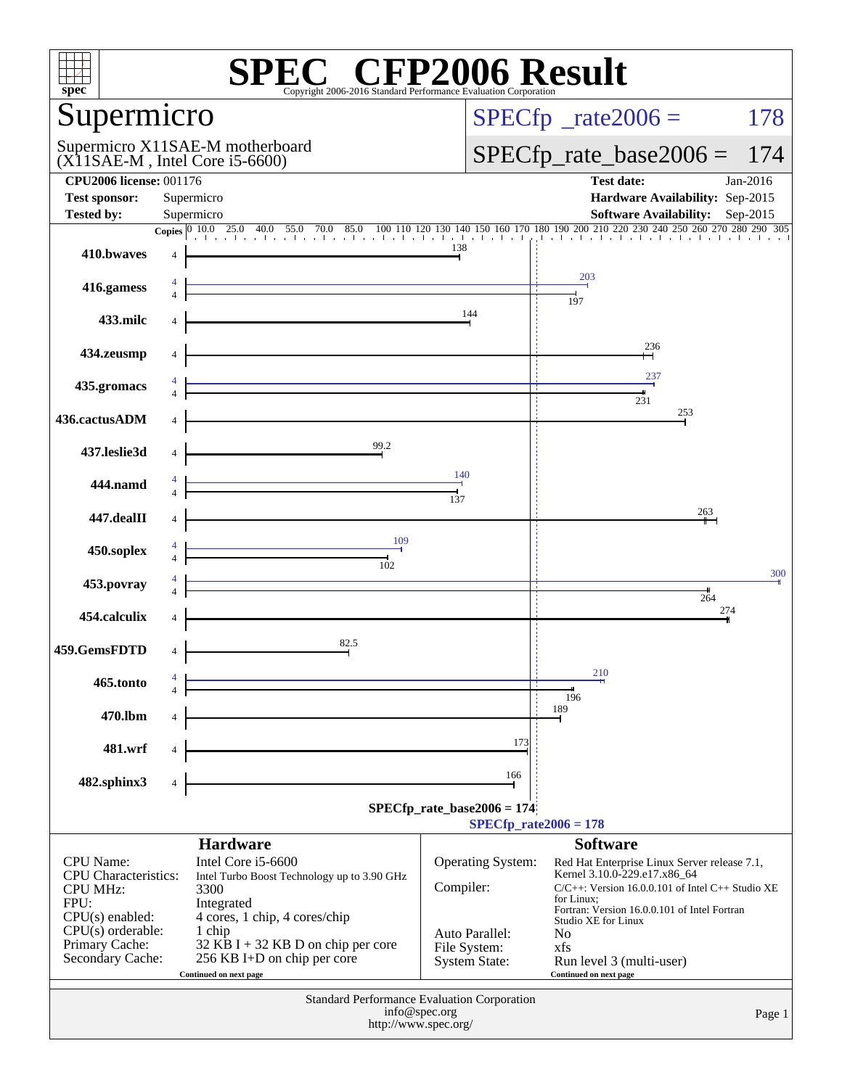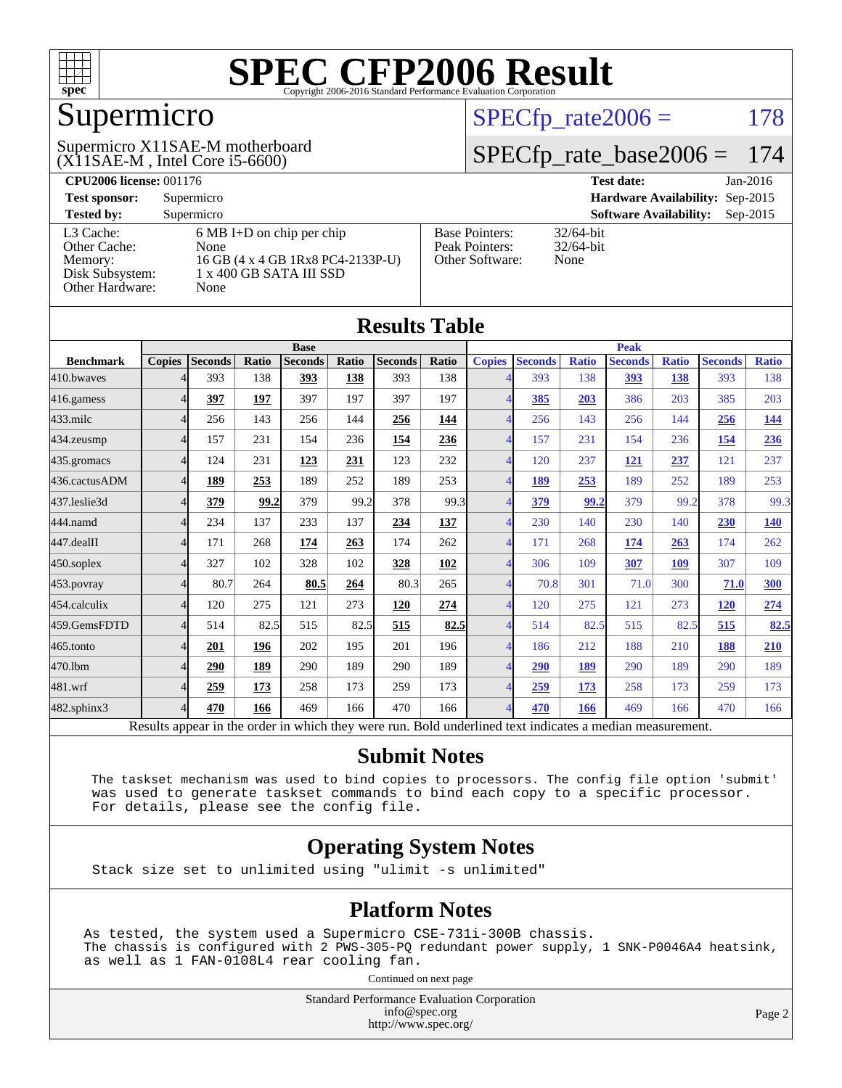

## Supermicro

(X11SAE-M , Intel Core i5-6600) Supermicro X11SAE-M motherboard  $SPECTp_rate2006 = 178$ 

#### [SPECfp\\_rate\\_base2006 =](http://www.spec.org/auto/cpu2006/Docs/result-fields.html#SPECfpratebase2006) 174

| <b>CPU2006 license: 001176</b> |                                     |                       | <b>Test date:</b><br>$Jan-2016$             |
|--------------------------------|-------------------------------------|-----------------------|---------------------------------------------|
| <b>Test sponsor:</b>           | Supermicro                          |                       | Hardware Availability: Sep-2015             |
| <b>Tested by:</b>              | Supermicro                          |                       | <b>Software Availability:</b><br>$Sep-2015$ |
| L3 Cache:                      | $6 \text{ MB I+D}$ on chip per chip | <b>Base Pointers:</b> | $32/64$ -bit                                |
| Other Cache:                   | None                                | Peak Pointers:        | $32/64$ -bit                                |
| Memory:                        | 16 GB (4 x 4 GB 1Rx8 PC4-2133P-U)   | Other Software:       | None                                        |
| Disk Subsystem:                | 1 x 400 GB SATA III SSD             |                       |                                             |
| Other Hardware:                | None                                |                       |                                             |

| <b>Results Table</b> |               |         |       |                                                                                                          |       |                |             |                          |                |              |                |              |                |              |
|----------------------|---------------|---------|-------|----------------------------------------------------------------------------------------------------------|-------|----------------|-------------|--------------------------|----------------|--------------|----------------|--------------|----------------|--------------|
|                      | <b>Base</b>   |         |       |                                                                                                          |       |                | <b>Peak</b> |                          |                |              |                |              |                |              |
| <b>Benchmark</b>     | <b>Copies</b> | Seconds | Ratio | <b>Seconds</b>                                                                                           | Ratio | <b>Seconds</b> | Ratio       | <b>Copies</b>            | <b>Seconds</b> | <b>Ratio</b> | <b>Seconds</b> | <b>Ratio</b> | <b>Seconds</b> | <b>Ratio</b> |
| 410.bwayes           |               | 393     | 138   | 393                                                                                                      | 138   | 393            | 138         |                          | 393            | 138          | 393            | 138          | 393            | 138          |
| 416.gamess           |               | 397     | 197   | 397                                                                                                      | 197   | 397            | 197         | $\overline{\mathcal{A}}$ | 385            | 203          | 386            | 203          | 385            | 203          |
| $433$ .milc          | 4             | 256     | 143   | 256                                                                                                      | 144   | 256            | 144         | 4                        | 256            | 143          | 256            | 144          | 256            | <u>144</u>   |
| 434.zeusmp           | 4             | 157     | 231   | 154                                                                                                      | 236   | 154            | 236         | $\overline{\mathcal{A}}$ | 157            | 231          | 154            | 236          | 154            | 236          |
| 435.gromacs          | 4             | 124     | 231   | 123                                                                                                      | 231   | 123            | 232         | $\Delta$                 | 120            | 237          | <b>121</b>     | 237          | 121            | 237          |
| 436.cactusADM        | 4             | 189     | 253   | 189                                                                                                      | 252   | 189            | 253         | $\overline{4}$           | 189            | 253          | 189            | 252          | 189            | 253          |
| 437.leslie3d         | Δ             | 379     | 99.2  | 379                                                                                                      | 99.2  | 378            | 99.3        | 4                        | 379            | 99.2         | 379            | 99.2         | 378            | 99.3         |
| 444.namd             |               | 234     | 137   | 233                                                                                                      | 137   | 234            | 137         | $\Delta$                 | 230            | 140          | 230            | 140          | 230            | <u>140</u>   |
| 447.dealII           | 4             | 171     | 268   | 174                                                                                                      | 263   | 174            | 262         | 4                        | 171            | 268          | 174            | 263          | 174            | 262          |
| $450$ .soplex        | 4             | 327     | 102   | 328                                                                                                      | 102   | 328            | 102         | 4                        | 306            | 109          | 307            | 109          | 307            | 109          |
| 453.povray           | 4             | 80.7    | 264   | 80.5                                                                                                     | 264   | 80.3           | 265         | 4                        | 70.8           | 301          | 71.0           | 300          | 71.0           | 300          |
| 454.calculix         | 4             | 120     | 275   | 121                                                                                                      | 273   | 120            | 274         | $\overline{A}$           | 120            | 275          | 121            | 273          | <b>120</b>     | 274          |
| 459.GemsFDTD         | 4             | 514     | 82.5  | 515                                                                                                      | 82.5  | 515            | 82.5        | $\overline{4}$           | 514            | 82.5         | 515            | 82.5         | 515            | 82.5         |
| $465$ .tonto         | Δ             | 201     | 196   | 202                                                                                                      | 195   | 201            | 196         | $\Delta$                 | 186            | 212          | 188            | 210          | 188            | 210          |
| 470.1bm              | 4             | 290     | 189   | 290                                                                                                      | 189   | 290            | 189         | $\Delta$                 | 290            | 189          | 290            | 189          | 290            | 189          |
| 481.wrf              | 4             | 259     | 173   | 258                                                                                                      | 173   | 259            | 173         | 4                        | 259            | 173          | 258            | 173          | 259            | 173          |
| $482$ .sphinx $3$    | 4             | 470     | 166   | 469                                                                                                      | 166   | 470            | 166         | $\overline{4}$           | 470            | 166          | 469            | 166          | 470            | 166          |
|                      |               |         |       | Results appear in the order in which they were run. Bold underlined text indicates a median measurement. |       |                |             |                          |                |              |                |              |                |              |

#### **[Submit Notes](http://www.spec.org/auto/cpu2006/Docs/result-fields.html#SubmitNotes)**

 The taskset mechanism was used to bind copies to processors. The config file option 'submit' was used to generate taskset commands to bind each copy to a specific processor. For details, please see the config file.

#### **[Operating System Notes](http://www.spec.org/auto/cpu2006/Docs/result-fields.html#OperatingSystemNotes)**

Stack size set to unlimited using "ulimit -s unlimited"

#### **[Platform Notes](http://www.spec.org/auto/cpu2006/Docs/result-fields.html#PlatformNotes)**

As tested, the system used a Supermicro CSE-731i-300B chassis. The chassis is configured with 2 PWS-305-PQ redundant power supply, 1 SNK-P0046A4 heatsink, as well as 1 FAN-0108L4 rear cooling fan.

Continued on next page

Standard Performance Evaluation Corporation [info@spec.org](mailto:info@spec.org) <http://www.spec.org/>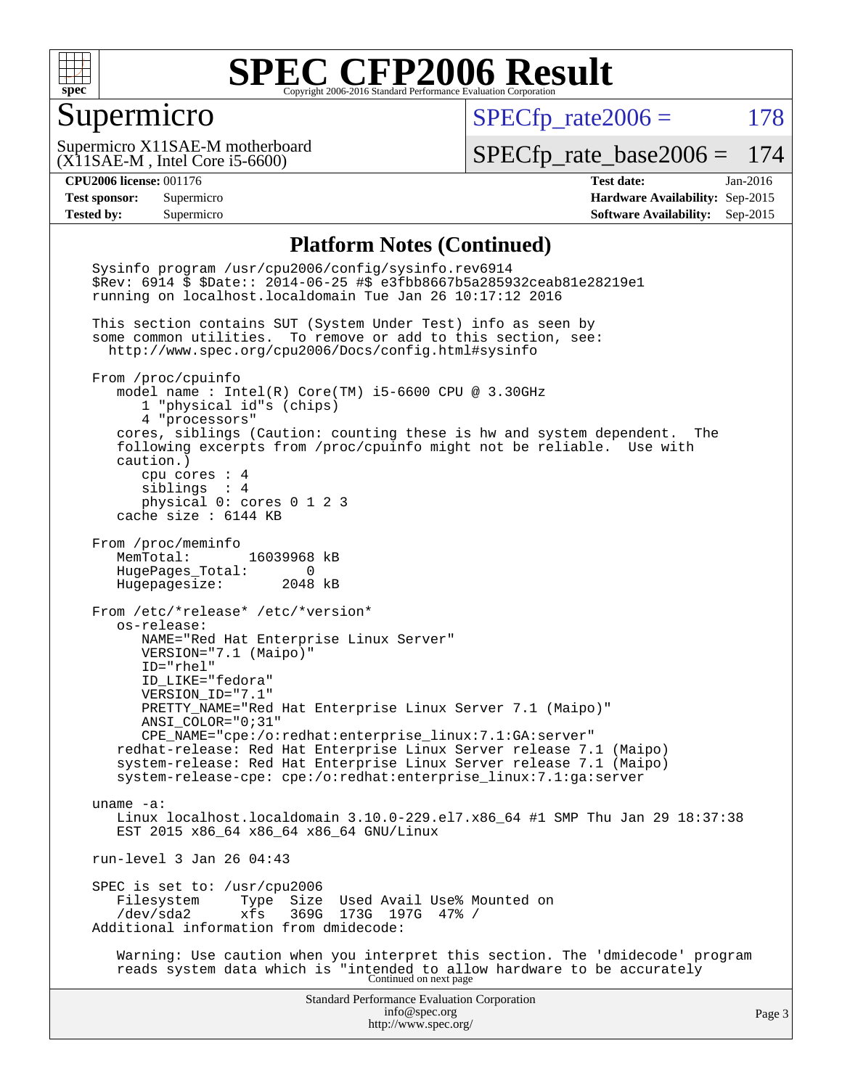

#### Supermicro

 $SPECTp_rate2006 = 178$ 

(X11SAE-M , Intel Core i5-6600) Supermicro X11SAE-M motherboard

[SPECfp\\_rate\\_base2006 =](http://www.spec.org/auto/cpu2006/Docs/result-fields.html#SPECfpratebase2006) 174

**[CPU2006 license:](http://www.spec.org/auto/cpu2006/Docs/result-fields.html#CPU2006license)** 001176 **[Test date:](http://www.spec.org/auto/cpu2006/Docs/result-fields.html#Testdate)** Jan-2016 **[Test sponsor:](http://www.spec.org/auto/cpu2006/Docs/result-fields.html#Testsponsor)** Supermicro **[Hardware Availability:](http://www.spec.org/auto/cpu2006/Docs/result-fields.html#HardwareAvailability)** Sep-2015 **[Tested by:](http://www.spec.org/auto/cpu2006/Docs/result-fields.html#Testedby)** Supermicro **Supermicro [Software Availability:](http://www.spec.org/auto/cpu2006/Docs/result-fields.html#SoftwareAvailability)** Sep-2015

#### **[Platform Notes \(Continued\)](http://www.spec.org/auto/cpu2006/Docs/result-fields.html#PlatformNotes)**

Standard Performance Evaluation Corporation [info@spec.org](mailto:info@spec.org) <http://www.spec.org/> Page 3 Sysinfo program /usr/cpu2006/config/sysinfo.rev6914 \$Rev: 6914 \$ \$Date:: 2014-06-25 #\$ e3fbb8667b5a285932ceab81e28219e1 running on localhost.localdomain Tue Jan 26 10:17:12 2016 This section contains SUT (System Under Test) info as seen by some common utilities. To remove or add to this section, see: <http://www.spec.org/cpu2006/Docs/config.html#sysinfo> From /proc/cpuinfo model name : Intel(R) Core(TM) i5-6600 CPU @ 3.30GHz 1 "physical id"s (chips) 4 "processors" cores, siblings (Caution: counting these is hw and system dependent. The following excerpts from /proc/cpuinfo might not be reliable. Use with caution.) cpu cores : 4 siblings : 4 physical 0: cores 0 1 2 3 cache size : 6144 KB From /proc/meminfo MemTotal: 16039968 kB HugePages\_Total: 0 Hugepagesize: 2048 kB From /etc/\*release\* /etc/\*version\* os-release: NAME="Red Hat Enterprise Linux Server" VERSION="7.1 (Maipo)" ID="rhel" ID\_LIKE="fedora" VERSION\_ID="7.1" PRETTY\_NAME="Red Hat Enterprise Linux Server 7.1 (Maipo)" ANSI\_COLOR="0;31" CPE\_NAME="cpe:/o:redhat:enterprise\_linux:7.1:GA:server" redhat-release: Red Hat Enterprise Linux Server release 7.1 (Maipo) system-release: Red Hat Enterprise Linux Server release 7.1 (Maipo) system-release-cpe: cpe:/o:redhat:enterprise\_linux:7.1:ga:server uname -a: Linux localhost.localdomain 3.10.0-229.el7.x86\_64 #1 SMP Thu Jan 29 18:37:38 EST 2015 x86\_64 x86\_64 x86\_64 GNU/Linux run-level 3 Jan 26 04:43 SPEC is set to: /usr/cpu2006<br>Filesystem Type Size Type Size Used Avail Use% Mounted on /dev/sda2 xfs 369G 173G 197G 47% / Additional information from dmidecode: Warning: Use caution when you interpret this section. The 'dmidecode' program reads system data which is "intended to allow hardware to be accurately Continued on next page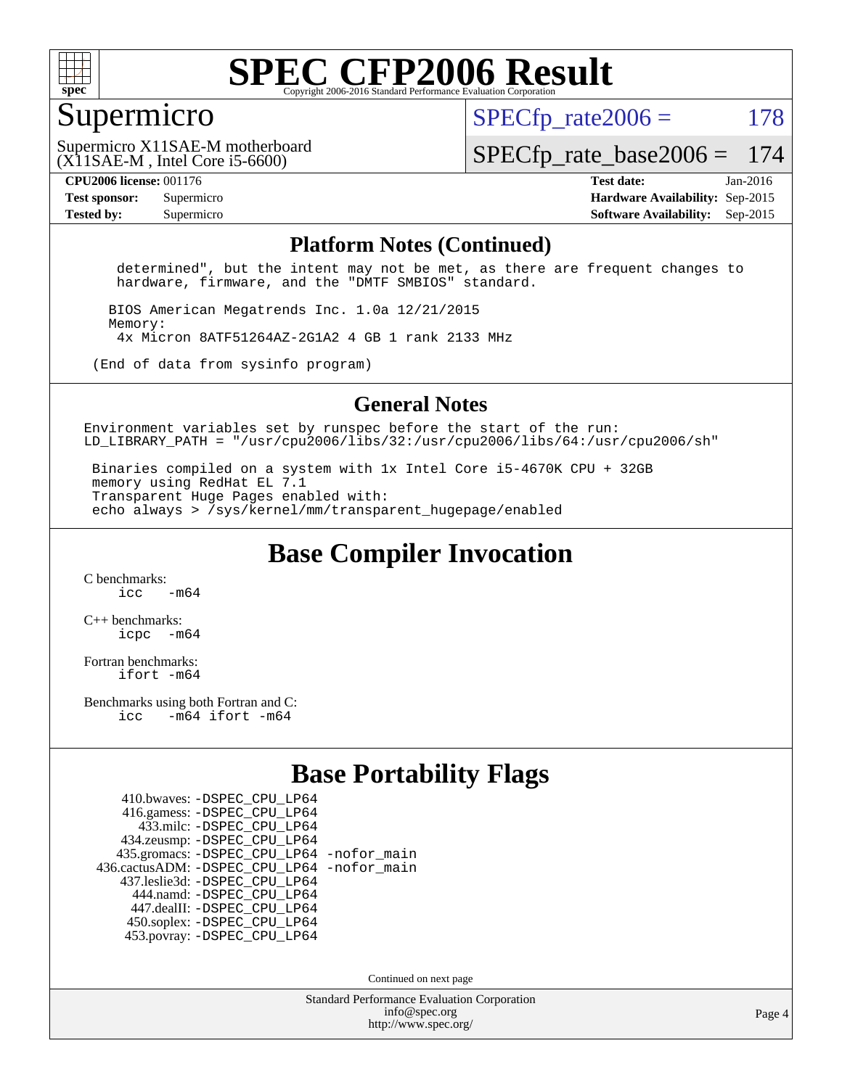

#### Supermicro

 $SPECTp\_rate2006 = 178$ 

(X11SAE-M , Intel Core i5-6600) Supermicro X11SAE-M motherboard

[SPECfp\\_rate\\_base2006 =](http://www.spec.org/auto/cpu2006/Docs/result-fields.html#SPECfpratebase2006) 174

**[CPU2006 license:](http://www.spec.org/auto/cpu2006/Docs/result-fields.html#CPU2006license)** 001176 **[Test date:](http://www.spec.org/auto/cpu2006/Docs/result-fields.html#Testdate)** Jan-2016 **[Test sponsor:](http://www.spec.org/auto/cpu2006/Docs/result-fields.html#Testsponsor)** Supermicro **[Hardware Availability:](http://www.spec.org/auto/cpu2006/Docs/result-fields.html#HardwareAvailability)** Sep-2015 **[Tested by:](http://www.spec.org/auto/cpu2006/Docs/result-fields.html#Testedby)** Supermicro **Supermicro [Software Availability:](http://www.spec.org/auto/cpu2006/Docs/result-fields.html#SoftwareAvailability)** Sep-2015

#### **[Platform Notes \(Continued\)](http://www.spec.org/auto/cpu2006/Docs/result-fields.html#PlatformNotes)**

 determined", but the intent may not be met, as there are frequent changes to hardware, firmware, and the "DMTF SMBIOS" standard.

 BIOS American Megatrends Inc. 1.0a 12/21/2015 Memory: 4x Micron 8ATF51264AZ-2G1A2 4 GB 1 rank 2133 MHz

(End of data from sysinfo program)

#### **[General Notes](http://www.spec.org/auto/cpu2006/Docs/result-fields.html#GeneralNotes)**

Environment variables set by runspec before the start of the run: LD LIBRARY PATH = "/usr/cpu2006/libs/32:/usr/cpu2006/libs/64:/usr/cpu2006/sh"

 Binaries compiled on a system with 1x Intel Core i5-4670K CPU + 32GB memory using RedHat EL 7.1 Transparent Huge Pages enabled with: echo always > /sys/kernel/mm/transparent\_hugepage/enabled

**[Base Compiler Invocation](http://www.spec.org/auto/cpu2006/Docs/result-fields.html#BaseCompilerInvocation)**

[C benchmarks](http://www.spec.org/auto/cpu2006/Docs/result-fields.html#Cbenchmarks):  $\frac{1}{2}$  cc  $-$  m64

[C++ benchmarks:](http://www.spec.org/auto/cpu2006/Docs/result-fields.html#CXXbenchmarks) [icpc -m64](http://www.spec.org/cpu2006/results/res2016q1/cpu2006-20160206-38969.flags.html#user_CXXbase_intel_icpc_64bit_bedb90c1146cab66620883ef4f41a67e)

[Fortran benchmarks](http://www.spec.org/auto/cpu2006/Docs/result-fields.html#Fortranbenchmarks): [ifort -m64](http://www.spec.org/cpu2006/results/res2016q1/cpu2006-20160206-38969.flags.html#user_FCbase_intel_ifort_64bit_ee9d0fb25645d0210d97eb0527dcc06e)

[Benchmarks using both Fortran and C](http://www.spec.org/auto/cpu2006/Docs/result-fields.html#BenchmarksusingbothFortranandC): [icc -m64](http://www.spec.org/cpu2006/results/res2016q1/cpu2006-20160206-38969.flags.html#user_CC_FCbase_intel_icc_64bit_0b7121f5ab7cfabee23d88897260401c) [ifort -m64](http://www.spec.org/cpu2006/results/res2016q1/cpu2006-20160206-38969.flags.html#user_CC_FCbase_intel_ifort_64bit_ee9d0fb25645d0210d97eb0527dcc06e)

#### **[Base Portability Flags](http://www.spec.org/auto/cpu2006/Docs/result-fields.html#BasePortabilityFlags)**

| 410.bwaves: - DSPEC CPU LP64                 |  |
|----------------------------------------------|--|
| 416.gamess: -DSPEC_CPU_LP64                  |  |
| 433.milc: -DSPEC CPU LP64                    |  |
| 434.zeusmp: -DSPEC_CPU_LP64                  |  |
| 435.gromacs: -DSPEC_CPU_LP64 -nofor_main     |  |
| 436.cactusADM: - DSPEC CPU LP64 - nofor main |  |
| 437.leslie3d: -DSPEC_CPU_LP64                |  |
| 444.namd: - DSPEC CPU LP64                   |  |
| 447.dealII: -DSPEC CPU LP64                  |  |
| 450.soplex: -DSPEC_CPU_LP64                  |  |
| 453.povray: -DSPEC CPU LP64                  |  |

Continued on next page

Standard Performance Evaluation Corporation [info@spec.org](mailto:info@spec.org) <http://www.spec.org/>

Page 4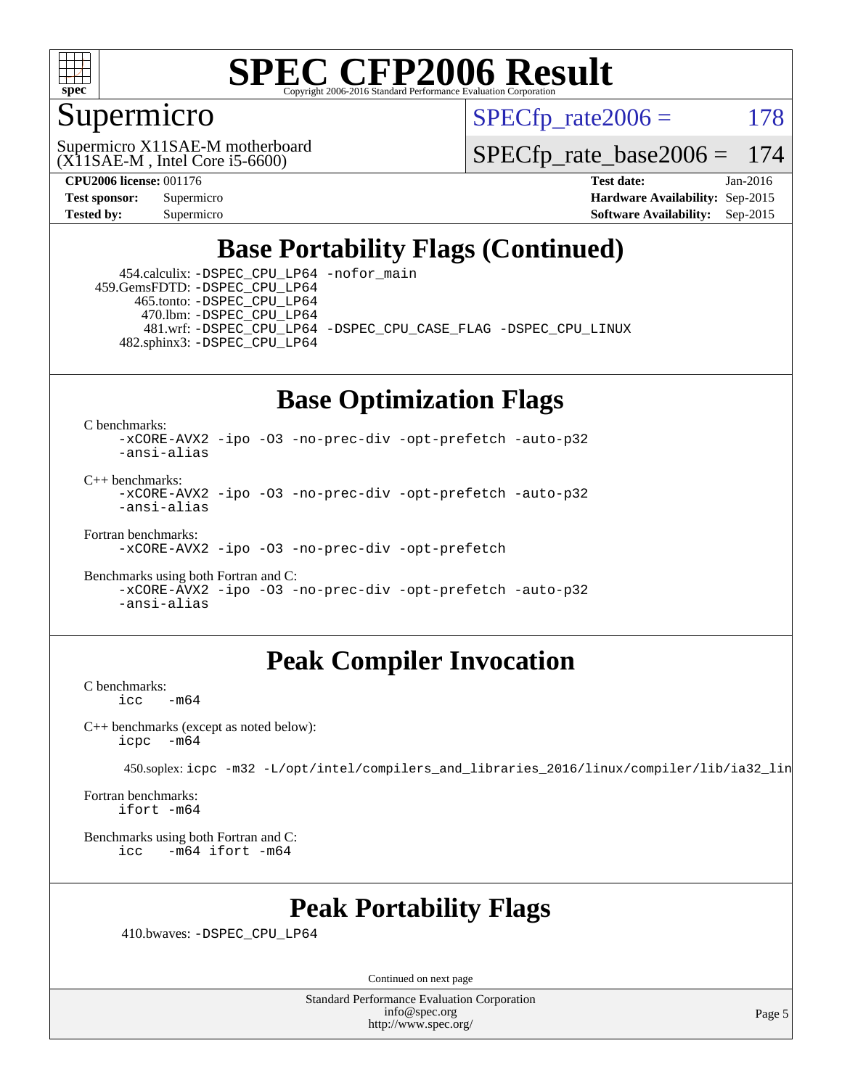

#### Supermicro

 $SPECTp\_rate2006 = 178$ 

(X11SAE-M , Intel Core i5-6600) Supermicro X11SAE-M motherboard

[SPECfp\\_rate\\_base2006 =](http://www.spec.org/auto/cpu2006/Docs/result-fields.html#SPECfpratebase2006) 174

**[CPU2006 license:](http://www.spec.org/auto/cpu2006/Docs/result-fields.html#CPU2006license)** 001176 **[Test date:](http://www.spec.org/auto/cpu2006/Docs/result-fields.html#Testdate)** Jan-2016 **[Test sponsor:](http://www.spec.org/auto/cpu2006/Docs/result-fields.html#Testsponsor)** Supermicro **[Hardware Availability:](http://www.spec.org/auto/cpu2006/Docs/result-fields.html#HardwareAvailability)** Sep-2015 **[Tested by:](http://www.spec.org/auto/cpu2006/Docs/result-fields.html#Testedby)** Supermicro **Supermicro [Software Availability:](http://www.spec.org/auto/cpu2006/Docs/result-fields.html#SoftwareAvailability)** Sep-2015

### **[Base Portability Flags \(Continued\)](http://www.spec.org/auto/cpu2006/Docs/result-fields.html#BasePortabilityFlags)**

 454.calculix: [-DSPEC\\_CPU\\_LP64](http://www.spec.org/cpu2006/results/res2016q1/cpu2006-20160206-38969.flags.html#suite_basePORTABILITY454_calculix_DSPEC_CPU_LP64) [-nofor\\_main](http://www.spec.org/cpu2006/results/res2016q1/cpu2006-20160206-38969.flags.html#user_baseLDPORTABILITY454_calculix_f-nofor_main) 459.GemsFDTD: [-DSPEC\\_CPU\\_LP64](http://www.spec.org/cpu2006/results/res2016q1/cpu2006-20160206-38969.flags.html#suite_basePORTABILITY459_GemsFDTD_DSPEC_CPU_LP64) 465.tonto: [-DSPEC\\_CPU\\_LP64](http://www.spec.org/cpu2006/results/res2016q1/cpu2006-20160206-38969.flags.html#suite_basePORTABILITY465_tonto_DSPEC_CPU_LP64) 470.lbm: [-DSPEC\\_CPU\\_LP64](http://www.spec.org/cpu2006/results/res2016q1/cpu2006-20160206-38969.flags.html#suite_basePORTABILITY470_lbm_DSPEC_CPU_LP64) 481.wrf: [-DSPEC\\_CPU\\_LP64](http://www.spec.org/cpu2006/results/res2016q1/cpu2006-20160206-38969.flags.html#suite_basePORTABILITY481_wrf_DSPEC_CPU_LP64) [-DSPEC\\_CPU\\_CASE\\_FLAG](http://www.spec.org/cpu2006/results/res2016q1/cpu2006-20160206-38969.flags.html#b481.wrf_baseCPORTABILITY_DSPEC_CPU_CASE_FLAG) [-DSPEC\\_CPU\\_LINUX](http://www.spec.org/cpu2006/results/res2016q1/cpu2006-20160206-38969.flags.html#b481.wrf_baseCPORTABILITY_DSPEC_CPU_LINUX) 482.sphinx3: [-DSPEC\\_CPU\\_LP64](http://www.spec.org/cpu2006/results/res2016q1/cpu2006-20160206-38969.flags.html#suite_basePORTABILITY482_sphinx3_DSPEC_CPU_LP64)

## **[Base Optimization Flags](http://www.spec.org/auto/cpu2006/Docs/result-fields.html#BaseOptimizationFlags)**

[C benchmarks](http://www.spec.org/auto/cpu2006/Docs/result-fields.html#Cbenchmarks):

[-xCORE-AVX2](http://www.spec.org/cpu2006/results/res2016q1/cpu2006-20160206-38969.flags.html#user_CCbase_f-xAVX2_5f5fc0cbe2c9f62c816d3e45806c70d7) [-ipo](http://www.spec.org/cpu2006/results/res2016q1/cpu2006-20160206-38969.flags.html#user_CCbase_f-ipo) [-O3](http://www.spec.org/cpu2006/results/res2016q1/cpu2006-20160206-38969.flags.html#user_CCbase_f-O3) [-no-prec-div](http://www.spec.org/cpu2006/results/res2016q1/cpu2006-20160206-38969.flags.html#user_CCbase_f-no-prec-div) [-opt-prefetch](http://www.spec.org/cpu2006/results/res2016q1/cpu2006-20160206-38969.flags.html#user_CCbase_f-opt-prefetch) [-auto-p32](http://www.spec.org/cpu2006/results/res2016q1/cpu2006-20160206-38969.flags.html#user_CCbase_f-auto-p32) [-ansi-alias](http://www.spec.org/cpu2006/results/res2016q1/cpu2006-20160206-38969.flags.html#user_CCbase_f-ansi-alias)

 $C_{++}$  benchmarks: [-xCORE-AVX2](http://www.spec.org/cpu2006/results/res2016q1/cpu2006-20160206-38969.flags.html#user_CXXbase_f-xAVX2_5f5fc0cbe2c9f62c816d3e45806c70d7) [-ipo](http://www.spec.org/cpu2006/results/res2016q1/cpu2006-20160206-38969.flags.html#user_CXXbase_f-ipo) [-O3](http://www.spec.org/cpu2006/results/res2016q1/cpu2006-20160206-38969.flags.html#user_CXXbase_f-O3) [-no-prec-div](http://www.spec.org/cpu2006/results/res2016q1/cpu2006-20160206-38969.flags.html#user_CXXbase_f-no-prec-div) [-opt-prefetch](http://www.spec.org/cpu2006/results/res2016q1/cpu2006-20160206-38969.flags.html#user_CXXbase_f-opt-prefetch) [-auto-p32](http://www.spec.org/cpu2006/results/res2016q1/cpu2006-20160206-38969.flags.html#user_CXXbase_f-auto-p32) [-ansi-alias](http://www.spec.org/cpu2006/results/res2016q1/cpu2006-20160206-38969.flags.html#user_CXXbase_f-ansi-alias)

[Fortran benchmarks](http://www.spec.org/auto/cpu2006/Docs/result-fields.html#Fortranbenchmarks):

[-xCORE-AVX2](http://www.spec.org/cpu2006/results/res2016q1/cpu2006-20160206-38969.flags.html#user_FCbase_f-xAVX2_5f5fc0cbe2c9f62c816d3e45806c70d7) [-ipo](http://www.spec.org/cpu2006/results/res2016q1/cpu2006-20160206-38969.flags.html#user_FCbase_f-ipo) [-O3](http://www.spec.org/cpu2006/results/res2016q1/cpu2006-20160206-38969.flags.html#user_FCbase_f-O3) [-no-prec-div](http://www.spec.org/cpu2006/results/res2016q1/cpu2006-20160206-38969.flags.html#user_FCbase_f-no-prec-div) [-opt-prefetch](http://www.spec.org/cpu2006/results/res2016q1/cpu2006-20160206-38969.flags.html#user_FCbase_f-opt-prefetch)

[Benchmarks using both Fortran and C](http://www.spec.org/auto/cpu2006/Docs/result-fields.html#BenchmarksusingbothFortranandC): [-xCORE-AVX2](http://www.spec.org/cpu2006/results/res2016q1/cpu2006-20160206-38969.flags.html#user_CC_FCbase_f-xAVX2_5f5fc0cbe2c9f62c816d3e45806c70d7) [-ipo](http://www.spec.org/cpu2006/results/res2016q1/cpu2006-20160206-38969.flags.html#user_CC_FCbase_f-ipo) [-O3](http://www.spec.org/cpu2006/results/res2016q1/cpu2006-20160206-38969.flags.html#user_CC_FCbase_f-O3) [-no-prec-div](http://www.spec.org/cpu2006/results/res2016q1/cpu2006-20160206-38969.flags.html#user_CC_FCbase_f-no-prec-div) [-opt-prefetch](http://www.spec.org/cpu2006/results/res2016q1/cpu2006-20160206-38969.flags.html#user_CC_FCbase_f-opt-prefetch) [-auto-p32](http://www.spec.org/cpu2006/results/res2016q1/cpu2006-20160206-38969.flags.html#user_CC_FCbase_f-auto-p32) [-ansi-alias](http://www.spec.org/cpu2006/results/res2016q1/cpu2006-20160206-38969.flags.html#user_CC_FCbase_f-ansi-alias)

#### **[Peak Compiler Invocation](http://www.spec.org/auto/cpu2006/Docs/result-fields.html#PeakCompilerInvocation)**

[C benchmarks](http://www.spec.org/auto/cpu2006/Docs/result-fields.html#Cbenchmarks):  $-m64$ 

[C++ benchmarks \(except as noted below\):](http://www.spec.org/auto/cpu2006/Docs/result-fields.html#CXXbenchmarksexceptasnotedbelow) [icpc -m64](http://www.spec.org/cpu2006/results/res2016q1/cpu2006-20160206-38969.flags.html#user_CXXpeak_intel_icpc_64bit_bedb90c1146cab66620883ef4f41a67e)

450.soplex: [icpc -m32 -L/opt/intel/compilers\\_and\\_libraries\\_2016/linux/compiler/lib/ia32\\_lin](http://www.spec.org/cpu2006/results/res2016q1/cpu2006-20160206-38969.flags.html#user_peakCXXLD450_soplex_intel_icpc_b4f50a394bdb4597aa5879c16bc3f5c5)

[Fortran benchmarks](http://www.spec.org/auto/cpu2006/Docs/result-fields.html#Fortranbenchmarks): [ifort -m64](http://www.spec.org/cpu2006/results/res2016q1/cpu2006-20160206-38969.flags.html#user_FCpeak_intel_ifort_64bit_ee9d0fb25645d0210d97eb0527dcc06e)

[Benchmarks using both Fortran and C](http://www.spec.org/auto/cpu2006/Docs/result-fields.html#BenchmarksusingbothFortranandC): [icc -m64](http://www.spec.org/cpu2006/results/res2016q1/cpu2006-20160206-38969.flags.html#user_CC_FCpeak_intel_icc_64bit_0b7121f5ab7cfabee23d88897260401c) [ifort -m64](http://www.spec.org/cpu2006/results/res2016q1/cpu2006-20160206-38969.flags.html#user_CC_FCpeak_intel_ifort_64bit_ee9d0fb25645d0210d97eb0527dcc06e)

#### **[Peak Portability Flags](http://www.spec.org/auto/cpu2006/Docs/result-fields.html#PeakPortabilityFlags)**

410.bwaves: [-DSPEC\\_CPU\\_LP64](http://www.spec.org/cpu2006/results/res2016q1/cpu2006-20160206-38969.flags.html#suite_peakPORTABILITY410_bwaves_DSPEC_CPU_LP64)

Continued on next page

Standard Performance Evaluation Corporation [info@spec.org](mailto:info@spec.org) <http://www.spec.org/>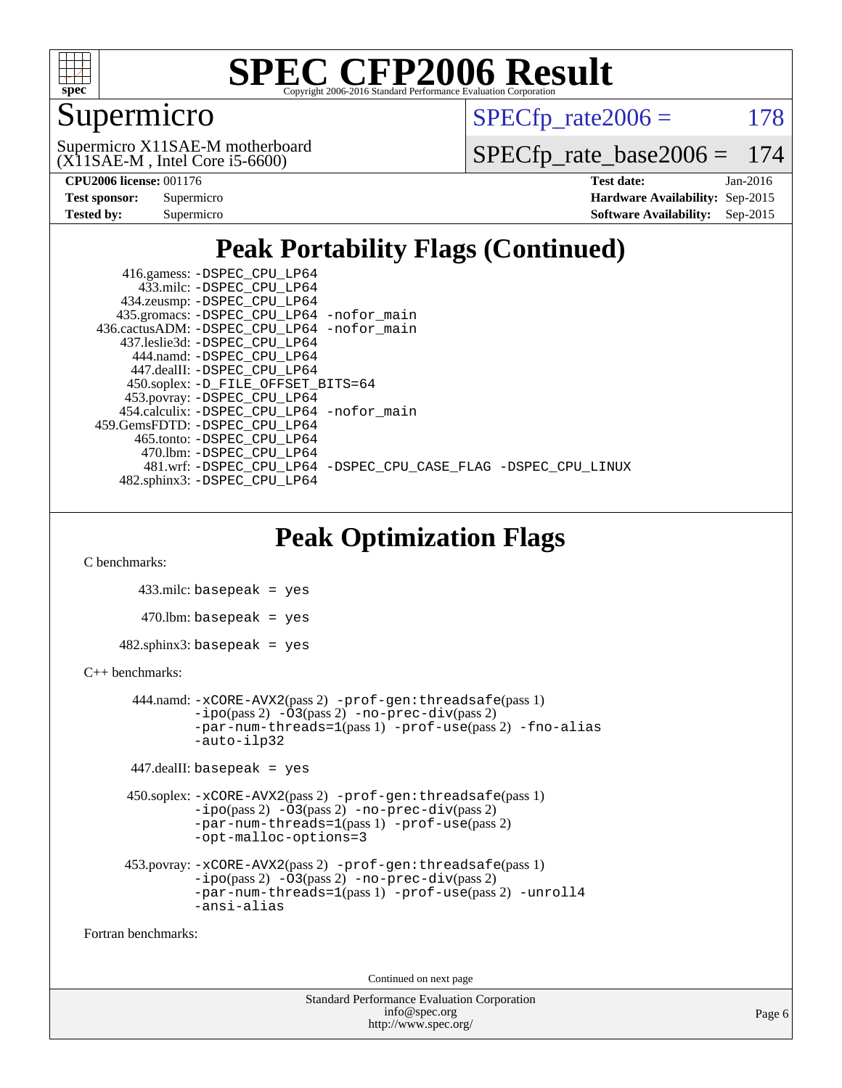

### Supermicro

 $SPECTp\_rate2006 = 178$ 

(X11SAE-M , Intel Core i5-6600) Supermicro X11SAE-M motherboard [SPECfp\\_rate\\_base2006 =](http://www.spec.org/auto/cpu2006/Docs/result-fields.html#SPECfpratebase2006) 174

| <b>Test sponsor:</b> | Supermicro |
|----------------------|------------|
| Tested by:           | Supermicro |

**[CPU2006 license:](http://www.spec.org/auto/cpu2006/Docs/result-fields.html#CPU2006license)** 001176 **[Test date:](http://www.spec.org/auto/cpu2006/Docs/result-fields.html#Testdate)** Jan-2016 **[Hardware Availability:](http://www.spec.org/auto/cpu2006/Docs/result-fields.html#HardwareAvailability)** Sep-2015 **[Software Availability:](http://www.spec.org/auto/cpu2006/Docs/result-fields.html#SoftwareAvailability)** Sep-2015

## **[Peak Portability Flags \(Continued\)](http://www.spec.org/auto/cpu2006/Docs/result-fields.html#PeakPortabilityFlags)**

 416.gamess: [-DSPEC\\_CPU\\_LP64](http://www.spec.org/cpu2006/results/res2016q1/cpu2006-20160206-38969.flags.html#suite_peakPORTABILITY416_gamess_DSPEC_CPU_LP64) 433.milc: [-DSPEC\\_CPU\\_LP64](http://www.spec.org/cpu2006/results/res2016q1/cpu2006-20160206-38969.flags.html#suite_peakPORTABILITY433_milc_DSPEC_CPU_LP64) 434.zeusmp: [-DSPEC\\_CPU\\_LP64](http://www.spec.org/cpu2006/results/res2016q1/cpu2006-20160206-38969.flags.html#suite_peakPORTABILITY434_zeusmp_DSPEC_CPU_LP64) 435.gromacs: [-DSPEC\\_CPU\\_LP64](http://www.spec.org/cpu2006/results/res2016q1/cpu2006-20160206-38969.flags.html#suite_peakPORTABILITY435_gromacs_DSPEC_CPU_LP64) [-nofor\\_main](http://www.spec.org/cpu2006/results/res2016q1/cpu2006-20160206-38969.flags.html#user_peakLDPORTABILITY435_gromacs_f-nofor_main) 436.cactusADM: [-DSPEC\\_CPU\\_LP64](http://www.spec.org/cpu2006/results/res2016q1/cpu2006-20160206-38969.flags.html#suite_peakPORTABILITY436_cactusADM_DSPEC_CPU_LP64) [-nofor\\_main](http://www.spec.org/cpu2006/results/res2016q1/cpu2006-20160206-38969.flags.html#user_peakLDPORTABILITY436_cactusADM_f-nofor_main) 437.leslie3d: [-DSPEC\\_CPU\\_LP64](http://www.spec.org/cpu2006/results/res2016q1/cpu2006-20160206-38969.flags.html#suite_peakPORTABILITY437_leslie3d_DSPEC_CPU_LP64) 444.namd: [-DSPEC\\_CPU\\_LP64](http://www.spec.org/cpu2006/results/res2016q1/cpu2006-20160206-38969.flags.html#suite_peakPORTABILITY444_namd_DSPEC_CPU_LP64) 447.dealII: [-DSPEC\\_CPU\\_LP64](http://www.spec.org/cpu2006/results/res2016q1/cpu2006-20160206-38969.flags.html#suite_peakPORTABILITY447_dealII_DSPEC_CPU_LP64) 450.soplex: [-D\\_FILE\\_OFFSET\\_BITS=64](http://www.spec.org/cpu2006/results/res2016q1/cpu2006-20160206-38969.flags.html#user_peakPORTABILITY450_soplex_file_offset_bits_64_438cf9856305ebd76870a2c6dc2689ab) 453.povray: [-DSPEC\\_CPU\\_LP64](http://www.spec.org/cpu2006/results/res2016q1/cpu2006-20160206-38969.flags.html#suite_peakPORTABILITY453_povray_DSPEC_CPU_LP64) 454.calculix: [-DSPEC\\_CPU\\_LP64](http://www.spec.org/cpu2006/results/res2016q1/cpu2006-20160206-38969.flags.html#suite_peakPORTABILITY454_calculix_DSPEC_CPU_LP64) [-nofor\\_main](http://www.spec.org/cpu2006/results/res2016q1/cpu2006-20160206-38969.flags.html#user_peakLDPORTABILITY454_calculix_f-nofor_main) 459.GemsFDTD: [-DSPEC\\_CPU\\_LP64](http://www.spec.org/cpu2006/results/res2016q1/cpu2006-20160206-38969.flags.html#suite_peakPORTABILITY459_GemsFDTD_DSPEC_CPU_LP64) 465.tonto: [-DSPEC\\_CPU\\_LP64](http://www.spec.org/cpu2006/results/res2016q1/cpu2006-20160206-38969.flags.html#suite_peakPORTABILITY465_tonto_DSPEC_CPU_LP64) 470.lbm: [-DSPEC\\_CPU\\_LP64](http://www.spec.org/cpu2006/results/res2016q1/cpu2006-20160206-38969.flags.html#suite_peakPORTABILITY470_lbm_DSPEC_CPU_LP64) 481.wrf: [-DSPEC\\_CPU\\_LP64](http://www.spec.org/cpu2006/results/res2016q1/cpu2006-20160206-38969.flags.html#suite_peakPORTABILITY481_wrf_DSPEC_CPU_LP64) [-DSPEC\\_CPU\\_CASE\\_FLAG](http://www.spec.org/cpu2006/results/res2016q1/cpu2006-20160206-38969.flags.html#b481.wrf_peakCPORTABILITY_DSPEC_CPU_CASE_FLAG) [-DSPEC\\_CPU\\_LINUX](http://www.spec.org/cpu2006/results/res2016q1/cpu2006-20160206-38969.flags.html#b481.wrf_peakCPORTABILITY_DSPEC_CPU_LINUX) 482.sphinx3: [-DSPEC\\_CPU\\_LP64](http://www.spec.org/cpu2006/results/res2016q1/cpu2006-20160206-38969.flags.html#suite_peakPORTABILITY482_sphinx3_DSPEC_CPU_LP64)

## **[Peak Optimization Flags](http://www.spec.org/auto/cpu2006/Docs/result-fields.html#PeakOptimizationFlags)**

[C benchmarks](http://www.spec.org/auto/cpu2006/Docs/result-fields.html#Cbenchmarks):

```
 433.milc: basepeak = yes
   470.lbm: basepeak = yes
482.sphinx3: basepeak = yes
```
#### [C++ benchmarks:](http://www.spec.org/auto/cpu2006/Docs/result-fields.html#CXXbenchmarks)

```
 444.namd: -xCORE-AVX2(pass 2) -prof-gen:threadsafe(pass 1)
       -no-prec-div(pass 2)-par-num-threads=1(pass 1) -prof-use(pass 2) -fno-alias
       -auto-ilp32
```

```
 447.dealII: basepeak = yes
```

```
 450.soplex: -xCORE-AVX2(pass 2) -prof-gen:threadsafe(pass 1)
          -i\text{po}(pass 2) -\overline{O}3(pass 2)-no-prec-div(pass 2)
          -par-num-threads=1(pass 1) -prof-use(pass 2)
          -opt-malloc-options=3
```

```
 453.povray: -xCORE-AVX2(pass 2) -prof-gen:threadsafe(pass 1)
          -i\text{po}(pass 2) -\tilde{O}3(pass 2)-no-prec-div(pass 2)
          -par-num-threads=1(pass 1) -prof-use(pass 2) -unroll4
          -ansi-alias
```
[Fortran benchmarks](http://www.spec.org/auto/cpu2006/Docs/result-fields.html#Fortranbenchmarks):

Continued on next page

```
Standard Performance Evaluation Corporation
             info@spec.org
           http://www.spec.org/
```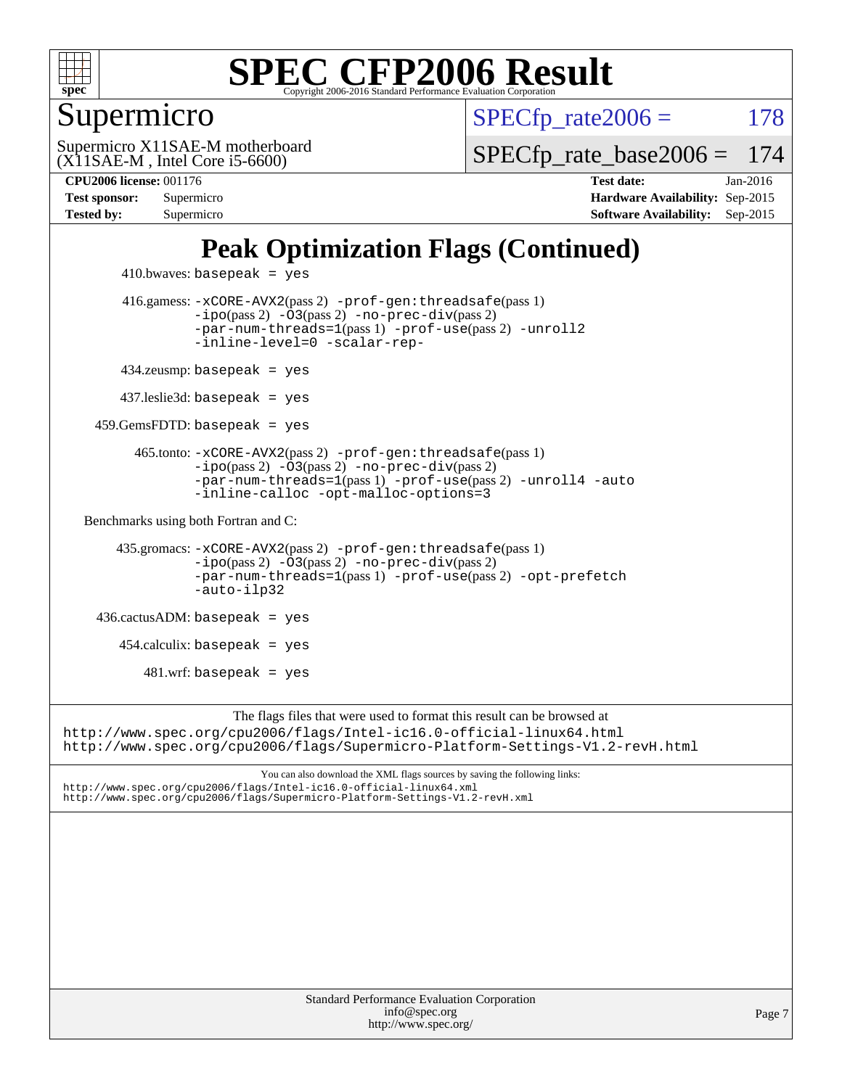

#### Supermicro

 $SPECTp\_rate2006 = 178$ 

(X11SAE-M , Intel Core i5-6600) Supermicro X11SAE-M motherboard [SPECfp\\_rate\\_base2006 =](http://www.spec.org/auto/cpu2006/Docs/result-fields.html#SPECfpratebase2006) 174

**[CPU2006 license:](http://www.spec.org/auto/cpu2006/Docs/result-fields.html#CPU2006license)** 001176 **[Test date:](http://www.spec.org/auto/cpu2006/Docs/result-fields.html#Testdate)** Jan-2016 **[Test sponsor:](http://www.spec.org/auto/cpu2006/Docs/result-fields.html#Testsponsor)** Supermicro **[Hardware Availability:](http://www.spec.org/auto/cpu2006/Docs/result-fields.html#HardwareAvailability)** Sep-2015 **[Tested by:](http://www.spec.org/auto/cpu2006/Docs/result-fields.html#Testedby)** Supermicro **Supermicro [Software Availability:](http://www.spec.org/auto/cpu2006/Docs/result-fields.html#SoftwareAvailability)** Sep-2015

## **[Peak Optimization Flags \(Continued\)](http://www.spec.org/auto/cpu2006/Docs/result-fields.html#PeakOptimizationFlags)**

```
410.bwaves: basepeak = yes 416.gamess: -xCORE-AVX2(pass 2) -prof-gen:threadsafe(pass 1)
                   -i\text{po}(pass 2) -03(pass 2)-no-prec-div(pass 2)
                   -par-num-threads=1(pass 1) -prof-use(pass 2) -unroll2
                   -inline-level=0 -scalar-rep-
         434.zeusmp: basepeak = yes
         437.leslie3d: basepeak = yes
     459.GemsFDTD: basepeak = yes
           465.tonto: -xCORE-AVX2(pass 2) -prof-gen:threadsafe(pass 1)
                   -no-prec-div(pass 2)-par-num-threads=1(pass 1) -prof-use(pass 2) -unroll4 -auto
                   -inline-calloc -opt-malloc-options=3
   Benchmarks using both Fortran and C: 
        435.gromacs: -xCORE-AVX2(pass 2) -prof-gen:threadsafe(pass 1)
                   -i\text{po}(pass 2) -03(pass 2)-no-prec-div(pass 2)
                   -par-num-threads=1(pass 1) -prof-use(pass 2) -opt-prefetch
                   -auto-ilp32
     436.cactusADM: basepeak = yes
        454.calculix: basepeak = yes
           481.wrf: basepeak = yes
                        The flags files that were used to format this result can be browsed at
http://www.spec.org/cpu2006/flags/Intel-ic16.0-official-linux64.html
http://www.spec.org/cpu2006/flags/Supermicro-Platform-Settings-V1.2-revH.html
                            You can also download the XML flags sources by saving the following links:
http://www.spec.org/cpu2006/flags/Intel-ic16.0-official-linux64.xml
http://www.spec.org/cpu2006/flags/Supermicro-Platform-Settings-V1.2-revH.xml
```